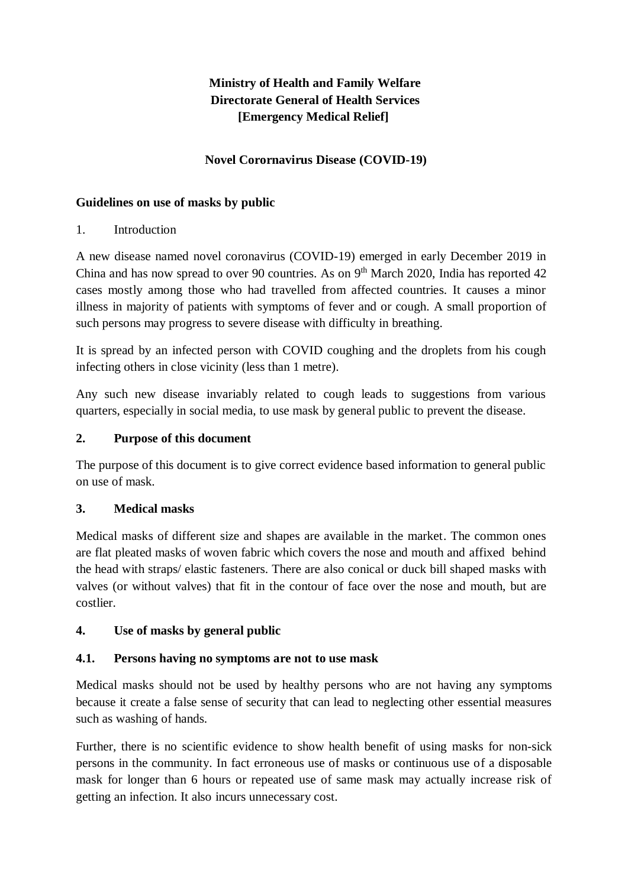# **Ministry of Health and Family Welfare Directorate General of Health Services [Emergency Medical Relief]**

## **Novel Corornavirus Disease (COVID-19)**

### **Guidelines on use of masks by public**

## 1. Introduction

A new disease named novel coronavirus (COVID-19) emerged in early December 2019 in China and has now spread to over 90 countries. As on  $9<sup>th</sup>$  March 2020, India has reported 42 cases mostly among those who had travelled from affected countries. It causes a minor illness in majority of patients with symptoms of fever and or cough. A small proportion of such persons may progress to severe disease with difficulty in breathing.

It is spread by an infected person with COVID coughing and the droplets from his cough infecting others in close vicinity (less than 1 metre).

Any such new disease invariably related to cough leads to suggestions from various quarters, especially in social media, to use mask by general public to prevent the disease.

### **2. Purpose of this document**

The purpose of this document is to give correct evidence based information to general public on use of mask.

## **3. Medical masks**

Medical masks of different size and shapes are available in the market. The common ones are flat pleated masks of woven fabric which covers the nose and mouth and affixed behind the head with straps/ elastic fasteners. There are also conical or duck bill shaped masks with valves (or without valves) that fit in the contour of face over the nose and mouth, but are costlier.

#### **4. Use of masks by general public**

## **4.1. Persons having no symptoms are not to use mask**

Medical masks should not be used by healthy persons who are not having any symptoms because it create a false sense of security that can lead to neglecting other essential measures such as washing of hands.

Further, there is no scientific evidence to show health benefit of using masks for non-sick persons in the community. In fact erroneous use of masks or continuous use of a disposable mask for longer than 6 hours or repeated use of same mask may actually increase risk of getting an infection. It also incurs unnecessary cost.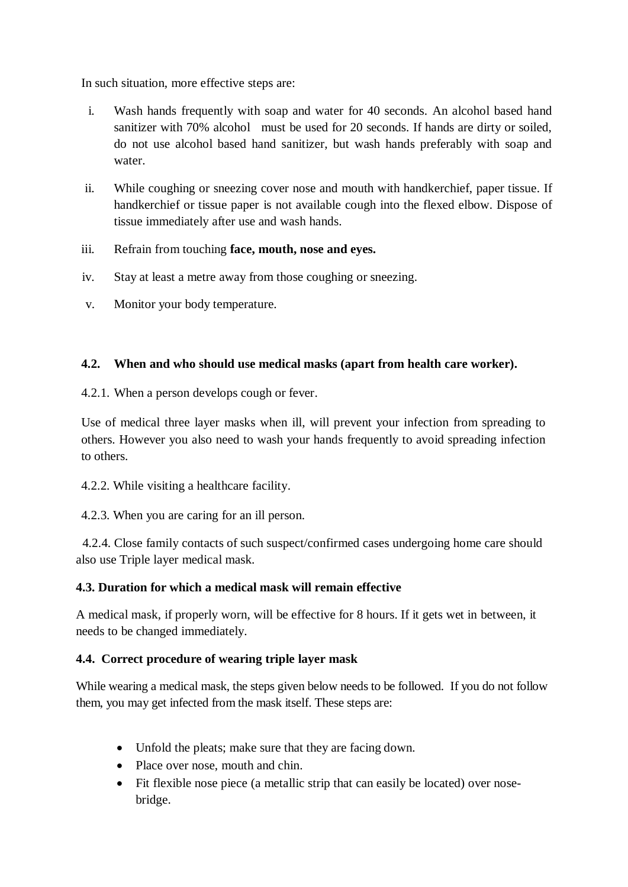In such situation, more effective steps are:

- i. Wash hands frequently with soap and water for 40 seconds. An alcohol based hand sanitizer with 70% alcohol must be used for 20 seconds. If hands are dirty or soiled, do not use alcohol based hand sanitizer, but wash hands preferably with soap and water.
- ii. While coughing or sneezing cover nose and mouth with handkerchief, paper tissue. If handkerchief or tissue paper is not available cough into the flexed elbow. Dispose of tissue immediately after use and wash hands.
- iii. Refrain from touching **face, mouth, nose and eyes.**
- iv. Stay at least a metre away from those coughing or sneezing.
- v. Monitor your body temperature.

## **4.2. When and who should use medical masks (apart from health care worker).**

4.2.1. When a person develops cough or fever.

Use of medical three layer masks when ill, will prevent your infection from spreading to others. However you also need to wash your hands frequently to avoid spreading infection to others.

4.2.2. While visiting a healthcare facility.

4.2.3. When you are caring for an ill person.

 4.2.4. Close family contacts of such suspect/confirmed cases undergoing home care should also use Triple layer medical mask.

## **4.3. Duration for which a medical mask will remain effective**

A medical mask, if properly worn, will be effective for 8 hours. If it gets wet in between, it needs to be changed immediately.

## **4.4. Correct procedure of wearing triple layer mask**

While wearing a medical mask, the steps given below needs to be followed. If you do not follow them, you may get infected from the mask itself. These steps are:

- Unfold the pleats; make sure that they are facing down.
- Place over nose, mouth and chin.
- Fit flexible nose piece (a metallic strip that can easily be located) over nosebridge.